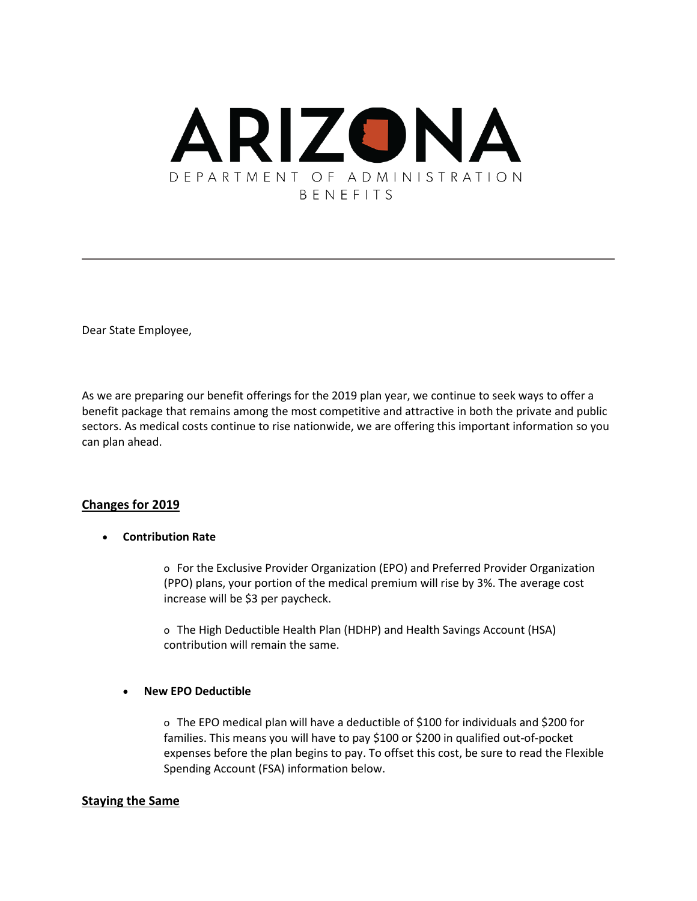

Dear State Employee,

As we are preparing our benefit offerings for the 2019 plan year, we continue to seek ways to offer a benefit package that remains among the most competitive and attractive in both the private and public sectors. As medical costs continue to rise nationwide, we are offering this important information so you can plan ahead.

# **Changes for 2019**

• **Contribution Rate**

o For the Exclusive Provider Organization (EPO) and Preferred Provider Organization (PPO) plans, your portion of the medical premium will rise by 3%. The average cost increase will be \$3 per paycheck.

o The High Deductible Health Plan (HDHP) and Health Savings Account (HSA) contribution will remain the same.

## • **New EPO Deductible**

o The EPO medical plan will have a deductible of \$100 for individuals and \$200 for families. This means you will have to pay \$100 or \$200 in qualified out-of-pocket expenses before the plan begins to pay. To offset this cost, be sure to read the Flexible Spending Account (FSA) information below.

## **Staying the Same**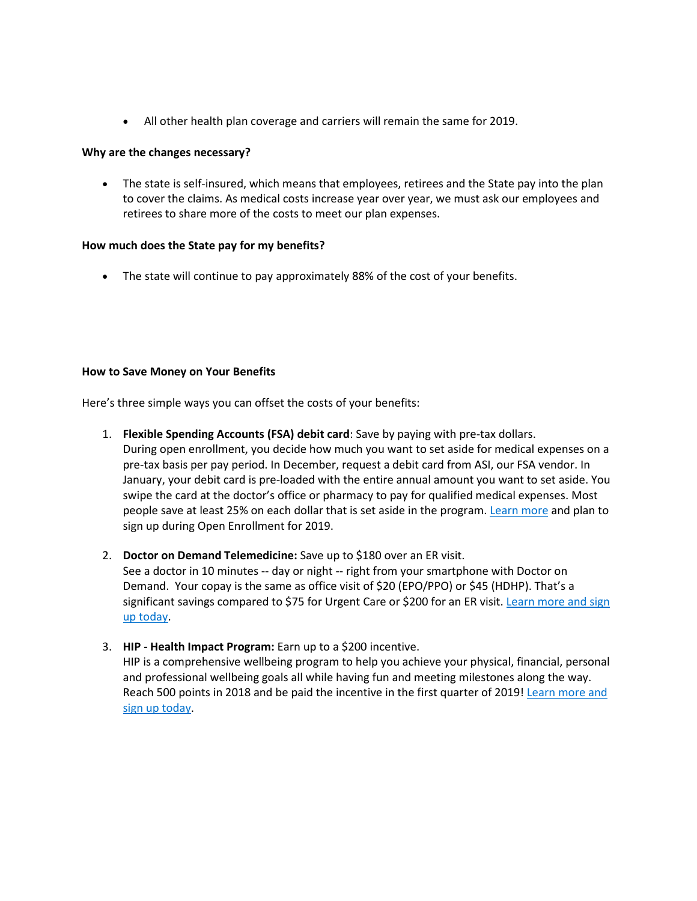• All other health plan coverage and carriers will remain the same for 2019.

#### **Why are the changes necessary?**

• The state is self-insured, which means that employees, retirees and the State pay into the plan to cover the claims. As medical costs increase year over year, we must ask our employees and retirees to share more of the costs to meet our plan expenses.

## **How much does the State pay for my benefits?**

• The state will continue to pay approximately 88% of the cost of your benefits.

#### **How to Save Money on Your Benefits**

Here's three simple ways you can offset the costs of your benefits:

- 1. **Flexible Spending Accounts (FSA) debit card**: Save by paying with pre-tax dollars. During open enrollment, you decide how much you want to set aside for medical expenses on a pre-tax basis per pay period. In December, request a debit card from ASI, our FSA vendor. In January, your debit card is pre-loaded with the entire annual amount you want to set aside. You swipe the card at the doctor's office or pharmacy to pay for qualified medical expenses. Most people save at least 25% on each dollar that is set aside in the program[. Learn more](https://u3934583.ct.sendgrid.net/wf/click?upn=6rJuEc2eMdtvTzm5b65Xf0cKdfDa9u7VrjvzQ76CFh8-3D_EHLy76AdtZHoe-2BKCBamyq024xCFOjEnlbjdmE2QLZlzndSsI1GTUFjHyUi97H4F1CPkgkNi-2BMjteKvkfT8jFHfTu3TLz-2F-2BgLoF5MtD3oMBilT6SSf7H2zyTtjc-2B1hAbUP9uQe9r2c3K-2Fkc1gXu-2FDFHs-2Baf-2Fas5IJC-2BzCqglDDJsfvAEr7psvr5MDz9rKzYpRpVsqB1F-2BtSVlL2bUDZtSCdkpexMUQVUzGuRD3l-2BbWXsKFcWO678JVrK1-2FPIEeQANouKPc2C-2FSZTpSErw9ni7XJs-2FsbLMT41x3xjDKNBp2Civ4o7xqzeMp83b-2FQBsKKGH0fK4Mk6MSSLAmOAkkFXoxEcYtKQuajalG-2B9doSeFozKoZNi9WBmPDJGvApT0Tu-2B1pdXiMQChJZnag4U95VPHSaEH6pakNH6tO949Gqse4IFxUoCLtAdambQ5mV3NzNWWZRVi2-2BO2vHxe8-2FC9-2BlLeCQ-3D-3D) and plan to sign up during Open Enrollment for 2019.
- 2. **Doctor on Demand Telemedicine:** Save up to \$180 over an ER visit.

See a doctor in 10 minutes -- day or night -- right from your smartphone with Doctor on Demand. Your copay is the same as office visit of \$20 (EPO/PPO) or \$45 (HDHP). That's a significant savings compared to \$75 for Urgent Care or \$200 for an ER visit. [Learn more and sign](https://u3934583.ct.sendgrid.net/wf/click?upn=6rJuEc2eMdtvTzm5b65Xf5E5RBJd4XHZluafZfP8pAw5qrsgpUlUgB0xplU2Whba_EHLy76AdtZHoe-2BKCBamyq024xCFOjEnlbjdmE2QLZlzndSsI1GTUFjHyUi97H4F1CPkgkNi-2BMjteKvkfT8jFHfTu3TLz-2F-2BgLoF5MtD3oMBilT6SSf7H2zyTtjc-2B1hAbUP9uQe9r2c3K-2Fkc1gXu-2FDFHs-2Baf-2Fas5IJC-2BzCqglDDJsfvAEr7psvr5MDz9rKzYpRpVsqB1F-2BtSVlL2bUDZtSCdkpexMUQVUzGuRD3l-2BbWXsKFcWO678JVrK1-2FPIEeQANW1YUllRFO73m1gijgu6e5e2MtXYMOaNfa-2F0BWWqMkHJF5Nd6xj3-2BdcA6STo1Fz0DoX6rEugZQG5fb5san85YDMdD1YKUH5iX-2FuXy-2FT6-2Fpz1cps76Zijg8FaGc6YdEGPA2IkqWu8bmDvoCPHlpuwSs8fYWTiJFBzrCU5ST1oKMkfnEwCiuMDNWEfGsdbtiowQ8E0i9V-2FNXmMFge1cptFXrw-3D-3D)  [up today.](https://u3934583.ct.sendgrid.net/wf/click?upn=6rJuEc2eMdtvTzm5b65Xf5E5RBJd4XHZluafZfP8pAw5qrsgpUlUgB0xplU2Whba_EHLy76AdtZHoe-2BKCBamyq024xCFOjEnlbjdmE2QLZlzndSsI1GTUFjHyUi97H4F1CPkgkNi-2BMjteKvkfT8jFHfTu3TLz-2F-2BgLoF5MtD3oMBilT6SSf7H2zyTtjc-2B1hAbUP9uQe9r2c3K-2Fkc1gXu-2FDFHs-2Baf-2Fas5IJC-2BzCqglDDJsfvAEr7psvr5MDz9rKzYpRpVsqB1F-2BtSVlL2bUDZtSCdkpexMUQVUzGuRD3l-2BbWXsKFcWO678JVrK1-2FPIEeQANW1YUllRFO73m1gijgu6e5e2MtXYMOaNfa-2F0BWWqMkHJF5Nd6xj3-2BdcA6STo1Fz0DoX6rEugZQG5fb5san85YDMdD1YKUH5iX-2FuXy-2FT6-2Fpz1cps76Zijg8FaGc6YdEGPA2IkqWu8bmDvoCPHlpuwSs8fYWTiJFBzrCU5ST1oKMkfnEwCiuMDNWEfGsdbtiowQ8E0i9V-2FNXmMFge1cptFXrw-3D-3D)

3. **HIP - Health Impact Program:** Earn up to a \$200 incentive. HIP is a comprehensive wellbeing program to help you achieve your physical, financial, personal and professional wellbeing goals all while having fun and meeting milestones along the way. Reach 500 points in 2018 and be paid the incentive in the first quarter of 2019! [Learn more and](https://u3934583.ct.sendgrid.net/wf/click?upn=vLJToBqJAuwHc7nj9YkseMq53s9-2BXbZ-2FSErIAD0HGlJLXd-2Fm-2FGrbBk9Xd9rL2o3P_EHLy76AdtZHoe-2BKCBamyq024xCFOjEnlbjdmE2QLZlzndSsI1GTUFjHyUi97H4F1CPkgkNi-2BMjteKvkfT8jFHfTu3TLz-2F-2BgLoF5MtD3oMBilT6SSf7H2zyTtjc-2B1hAbUP9uQe9r2c3K-2Fkc1gXu-2FDFHs-2Baf-2Fas5IJC-2BzCqglDDJsfvAEr7psvr5MDz9rKzYpRpVsqB1F-2BtSVlL2bUDZtSCdkpexMUQVUzGuRD3l-2BbWXsKFcWO678JVrK1-2FPIEeQAN2PRsNRvAaViygIaHNAV3DRYgGWodgC89MZ9TlL7NHlwDVKTgNH-2BoOTU036I5PvTUtcwDDUwEKvoCx9zi7TFzYY3nml4e07a9RX-2FEHmUuEPYVdgF2iGRVcQZvp1sbfjFETZx51nATxsB66Ryhnnmb9t2QJLzjEJk2ZPlX-2Fjpv4NvpfazBBUQUyePfzl1fQtpMSGAgS9InlnmCBKh-2BZQr0yA-3D-3D)  [sign up today.](https://u3934583.ct.sendgrid.net/wf/click?upn=vLJToBqJAuwHc7nj9YkseMq53s9-2BXbZ-2FSErIAD0HGlJLXd-2Fm-2FGrbBk9Xd9rL2o3P_EHLy76AdtZHoe-2BKCBamyq024xCFOjEnlbjdmE2QLZlzndSsI1GTUFjHyUi97H4F1CPkgkNi-2BMjteKvkfT8jFHfTu3TLz-2F-2BgLoF5MtD3oMBilT6SSf7H2zyTtjc-2B1hAbUP9uQe9r2c3K-2Fkc1gXu-2FDFHs-2Baf-2Fas5IJC-2BzCqglDDJsfvAEr7psvr5MDz9rKzYpRpVsqB1F-2BtSVlL2bUDZtSCdkpexMUQVUzGuRD3l-2BbWXsKFcWO678JVrK1-2FPIEeQAN2PRsNRvAaViygIaHNAV3DRYgGWodgC89MZ9TlL7NHlwDVKTgNH-2BoOTU036I5PvTUtcwDDUwEKvoCx9zi7TFzYY3nml4e07a9RX-2FEHmUuEPYVdgF2iGRVcQZvp1sbfjFETZx51nATxsB66Ryhnnmb9t2QJLzjEJk2ZPlX-2Fjpv4NvpfazBBUQUyePfzl1fQtpMSGAgS9InlnmCBKh-2BZQr0yA-3D-3D)